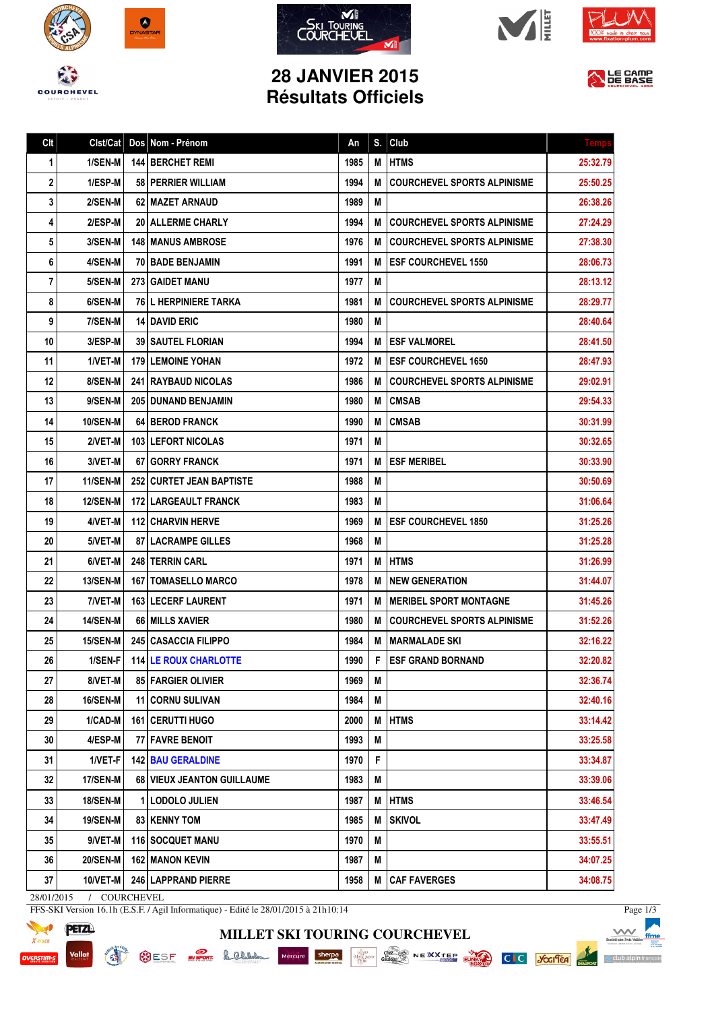









## **28 JANVIER 2015 Résultats Officiels**



| Clt | Clst/Cat        |   | Dos Nom - Prénom                | An   | S. | Club                               | <b>Temp</b> |
|-----|-----------------|---|---------------------------------|------|----|------------------------------------|-------------|
| 1   | 1/SEN-M         |   | 144 BERCHET REMI                | 1985 | M  | <b>HTMS</b>                        | 25:32.79    |
| 2   | 1/ESP-M         |   | 58 PERRIER WILLIAM              | 1994 | M  | <b>COURCHEVEL SPORTS ALPINISME</b> | 25:50.25    |
| 3   | 2/SEN-M         |   | 62 MAZET ARNAUD                 | 1989 | M  |                                    | 26:38.26    |
| 4   | 2/ESP-M         |   | 20 ALLERME CHARLY               | 1994 | M  | <b>COURCHEVEL SPORTS ALPINISME</b> | 27:24.29    |
| 5   | 3/SEN-M         |   | 148   MANUS AMBROSE             | 1976 | М  | <b>COURCHEVEL SPORTS ALPINISME</b> | 27:38.30    |
| 6   | 4/SEN-M         |   | 70 BADE BENJAMIN                | 1991 | M  | <b>ESF COURCHEVEL 1550</b>         | 28:06.73    |
| 7   | 5/SEN-M         |   | <b>273 GAIDET MANU</b>          | 1977 | М  |                                    | 28:13.12    |
| 8   | 6/SEN-M         |   | <b>76 L HERPINIERE TARKA</b>    | 1981 | M  | <b>COURCHEVEL SPORTS ALPINISME</b> | 28:29.77    |
| 9   | 7/SEN-M         |   | <b>14 DAVID ERIC</b>            | 1980 | M  |                                    | 28:40.64    |
| 10  | 3/ESP-M         |   | <b>39 SAUTEL FLORIAN</b>        | 1994 | M  | <b>ESF VALMOREL</b>                | 28:41.50    |
| 11  | 1/VET-M         |   | <b>179 LEMOINE YOHAN</b>        | 1972 | M  | <b>ESF COURCHEVEL 1650</b>         | 28:47.93    |
| 12  | 8/SEN-M         |   | <b>241 RAYBAUD NICOLAS</b>      | 1986 | M  | <b>COURCHEVEL SPORTS ALPINISME</b> | 29:02.91    |
| 13  | 9/SEN-M         |   | <b>205   DUNAND BENJAMIN</b>    | 1980 | M  | <b>CMSAB</b>                       | 29:54.33    |
| 14  | <b>10/SEN-M</b> |   | 64 BEROD FRANCK                 | 1990 | M  | <b>CMSAB</b>                       | 30:31.99    |
| 15  | 2/VET-M         |   | 103 LEFORT NICOLAS              | 1971 | M  |                                    | 30:32.65    |
| 16  | 3/VET-M         |   | 67 GORRY FRANCK                 | 1971 | М  | <b>ESF MERIBEL</b>                 | 30:33.90    |
| 17  | <b>11/SEN-M</b> |   | <b>252 CURTET JEAN BAPTISTE</b> | 1988 | M  |                                    | 30:50.69    |
| 18  | <b>12/SEN-M</b> |   | 172 LARGEAULT FRANCK            | 1983 | M  |                                    | 31:06.64    |
| 19  | 4/VET-M         |   | 112 CHARVIN HERVE               | 1969 | M  | <b>ESF COURCHEVEL 1850</b>         | 31:25.26    |
| 20  | 5/VET-M         |   | <b>87   LACRAMPE GILLES</b>     | 1968 | M  |                                    | 31:25.28    |
| 21  | 6/VET-M         |   | 248 TERRIN CARL                 | 1971 | M  | <b>HTMS</b>                        | 31:26.99    |
| 22  | <b>13/SEN-M</b> |   | <b>167   TOMASELLO MARCO</b>    | 1978 | M  | <b>NEW GENERATION</b>              | 31:44.07    |
| 23  | 7/VET-M         |   | 163 LECERF LAURENT              | 1971 | M  | <b>MERIBEL SPORT MONTAGNE</b>      | 31:45.26    |
| 24  | <b>14/SEN-M</b> |   | 66 MILLS XAVIER                 | 1980 | M  | <b>COURCHEVEL SPORTS ALPINISME</b> | 31:52.26    |
| 25  | <b>15/SEN-M</b> |   | <b>245 CASACCIA FILIPPO</b>     | 1984 | M  | <b>MARMALADE SKI</b>               | 32:16.22    |
| 26  | $1/SEN-F$       |   | 114 LE ROUX CHARLOTTE           | 1990 | F  | <b>IESF GRAND BORNAND</b>          | 32:20.82    |
| 27  | 8/VET-M         |   | 85 FARGIER OLIVIER              | 1969 | M  |                                    | 32:36.74    |
| 28  | 16/SEN-M        |   | <b>11 CORNU SULIVAN</b>         | 1984 | M  |                                    | 32:40.16    |
| 29  | 1/CAD-M         |   | 161   CERUTTI HUGO              | 2000 | M  | <b>HTMS</b>                        | 33:14.42    |
| 30  | 4/ESP-M         |   | 77 FAVRE BENOIT                 | 1993 | M  |                                    | 33:25.58    |
| 31  | 1/VET-F         |   | <b>142 BAU GERALDINE</b>        | 1970 | F  |                                    | 33:34.87    |
| 32  | <b>17/SEN-M</b> |   | 68 VIEUX JEANTON GUILLAUME      | 1983 | Μ  |                                    | 33:39.06    |
| 33  | 18/SEN-M        | 1 | <b>LODOLO JULIEN</b>            | 1987 | M  | <b>HTMS</b>                        | 33:46.54    |
| 34  | <b>19/SEN-M</b> |   | 83 KENNY TOM                    | 1985 | М  | <b>SKIVOL</b>                      | 33:47.49    |
| 35  | 9/VET-M         |   | 116   SOCQUET MANU              | 1970 | Μ  |                                    | 33:55.51    |
| 36  | <b>20/SEN-M</b> |   | 162 MANON KEVIN                 | 1987 | Μ  |                                    | 34:07.25    |
| 37  | 10/VET-M        |   | 246 LAPPRAND PIERRE             | 1958 | M  | <b>CAF FAVERGES</b>                | 34:08.75    |

**MILLET SKI TOURING COURCHEVEL**

28/01/2015 / COURCHEVEL

**READY** 

FFS-SKI Version 16.1h (E.S.F. / Agil Informatique) - Edité le 28/01/2015 à 21h10:14



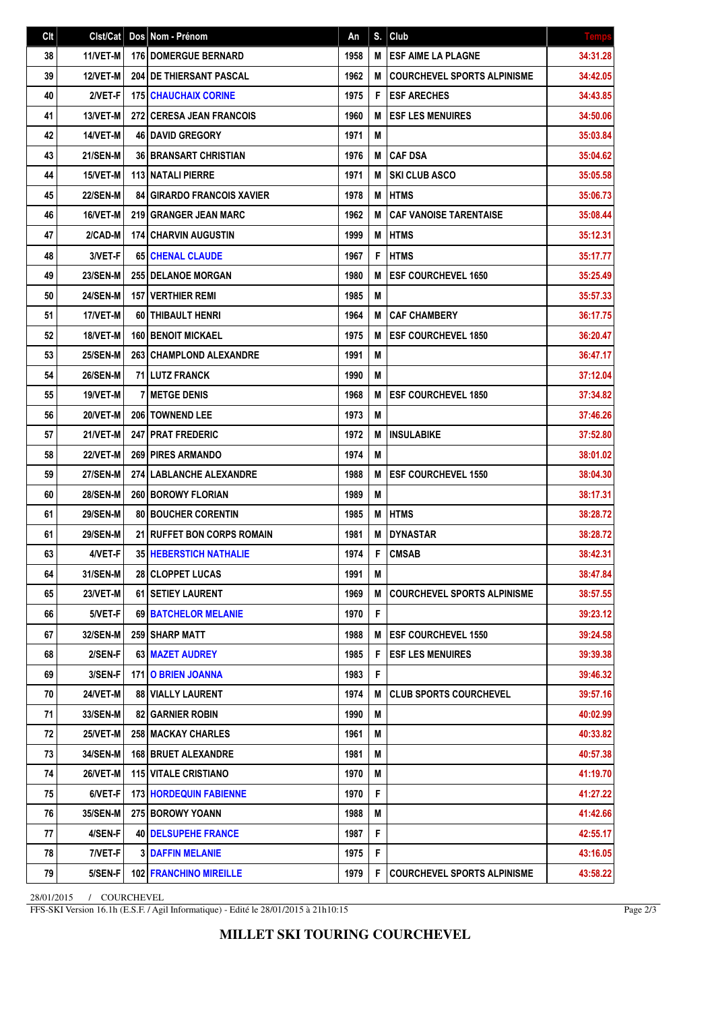| Clt | Clst/Cat        | Dos Nom - Prénom                  | An   | S. | Club                               | <b>Temps</b> |
|-----|-----------------|-----------------------------------|------|----|------------------------------------|--------------|
| 38  | 11/VET-M        | <b>176 DOMERGUE BERNARD</b>       | 1958 | M  | <b>ESF AIME LA PLAGNE</b>          | 34:31.28     |
| 39  | 12/VET-M        | <b>204 IDE THIERSANT PASCAL</b>   | 1962 | М  | <b>COURCHEVEL SPORTS ALPINISME</b> | 34:42.05     |
| 40  | 2/VET-F         | <b>175 CHAUCHAIX CORINE</b>       | 1975 | F  | <b>ESF ARECHES</b>                 | 34:43.85     |
| 41  | 13/VET-M        | 272 CERESA JEAN FRANCOIS          | 1960 | М  | <b>ESF LES MENUIRES</b>            | 34:50.06     |
| 42  | 14/VET-M        | <b>46   DAVID GREGORY</b>         | 1971 | M  |                                    | 35:03.84     |
| 43  | <b>21/SEN-M</b> | <b>36 BRANSART CHRISTIAN</b>      | 1976 | М  | <b>CAF DSA</b>                     | 35:04.62     |
| 44  | 15/VET-M        | <b>113 NATALI PIERRE</b>          | 1971 | M  | <b>SKI CLUB ASCO</b>               | 35:05.58     |
| 45  | <b>22/SEN-M</b> | <b>84 GIRARDO FRANCOIS XAVIER</b> | 1978 | М  | <b>HTMS</b>                        | 35:06.73     |
| 46  | 16/VET-M        | 219 GRANGER JEAN MARC             | 1962 | M  | <b>CAF VANOISE TARENTAISE</b>      | 35:08.44     |
| 47  | 2/CAD-M         | <b>174 CHARVIN AUGUSTIN</b>       | 1999 | M  | <b>HTMS</b>                        | 35:12.31     |
| 48  | 3/VET-F         | <b>651 CHENAL CLAUDE</b>          | 1967 | F  | <b>HTMS</b>                        | 35:17.77     |
| 49  | <b>23/SEN-M</b> | <b>255 DELANOE MORGAN</b>         | 1980 | M  | <b>ESF COURCHEVEL 1650</b>         | 35:25.49     |
| 50  | <b>24/SEN-M</b> | <b>157 VERTHIER REMI</b>          | 1985 | M  |                                    | 35:57.33     |
| 51  | 17/VET-M        | 60 THIBAULT HENRI                 | 1964 | M  | <b>CAF CHAMBERY</b>                | 36:17.75     |
| 52  | 18/VET-M        | <b>160 BENOIT MICKAEL</b>         | 1975 | М  | <b>ESF COURCHEVEL 1850</b>         | 36:20.47     |
| 53  | <b>25/SEN-M</b> | 263 CHAMPLOND ALEXANDRE           | 1991 | M  |                                    | 36:47.17     |
| 54  | <b>26/SEN-M</b> | 71 LUTZ FRANCK                    | 1990 | M  |                                    | 37:12.04     |
| 55  | 19/VET-M        | <b>7 METGE DENIS</b>              | 1968 | M  | <b>ESF COURCHEVEL 1850</b>         | 37:34.82     |
| 56  | 20/VET-M        | 206   TOWNEND LEE                 | 1973 | M  |                                    | 37:46.26     |
| 57  | 21/VET-M        | <b>247 PRAT FREDERIC</b>          | 1972 | M  | <b>INSULABIKE</b>                  | 37:52.80     |
| 58  | 22/VET-M        | <b>269 PIRES ARMANDO</b>          | 1974 | M  |                                    | 38:01.02     |
| 59  | <b>27/SEN-M</b> | 274 LABLANCHE ALEXANDRE           | 1988 | M  | <b>ESF COURCHEVEL 1550</b>         | 38:04.30     |
| 60  | <b>28/SEN-M</b> | 260 BOROWY FLORIAN                | 1989 | M  |                                    | 38:17.31     |
| 61  | <b>29/SEN-M</b> | <b>80 BOUCHER CORENTIN</b>        | 1985 | M  | <b>HTMS</b>                        | 38:28.72     |
| 61  | <b>29/SEN-M</b> | 21 RUFFET BON CORPS ROMAIN        | 1981 | M  | <b>DYNASTAR</b>                    | 38:28.72     |
| 63  | 4/VET-F         | <b>35 HEBERSTICH NATHALIE</b>     | 1974 | F  | <b>CMSAB</b>                       | 38:42.31     |
| 64  | <b>31/SEN-M</b> | <b>28 CLOPPET LUCAS</b>           | 1991 | M  |                                    | 38:47.84     |
| 65  | <b>23/VET-M</b> | <b>61   SETIEY LAURENT</b>        | 1969 | M  | <b>COURCHEVEL SPORTS ALPINISME</b> | 38:57.55     |
| 66  | 5/VET-F         | 69   BATCHELOR MELANIE            | 1970 | F  |                                    | 39:23.12     |
| 67  | <b>32/SEN-M</b> | 259 SHARP MATT                    | 1988 | M  | <b>ESF COURCHEVEL 1550</b>         | 39:24.58     |
| 68  | 2/SEN-F         | 63 MAZET AUDREY                   | 1985 | F  | <b>ESF LES MENUIRES</b>            | 39:39.38     |
| 69  | 3/SEN-F         | <b>171 O BRIEN JOANNA</b>         | 1983 | F  |                                    | 39:46.32     |
| 70  | 24/VET-M        | <b>88 VIALLY LAURENT</b>          | 1974 | M  | <b>CLUB SPORTS COURCHEVEL</b>      | 39:57.16     |
| 71  | 33/SEN-M        | <b>82 GARNIER ROBIN</b>           | 1990 | Μ  |                                    | 40:02.99     |
| 72  | 25/VET-M        | 258 MACKAY CHARLES                | 1961 | M  |                                    | 40:33.82     |
| 73  | 34/SEN-M        | <b>168   BRUET ALEXANDRE</b>      | 1981 | Μ  |                                    | 40:57.38     |
| 74  | <b>26/VET-M</b> | <b>115 VITALE CRISTIANO</b>       | 1970 | Μ  |                                    | 41:19.70     |
| 75  | 6/VET-F         | <b>173 HORDEQUIN FABIENNE</b>     | 1970 | F  |                                    | 41:27.22     |
| 76  | 35/SEN-M        | 275 BOROWY YOANN                  | 1988 | M  |                                    | 41:42.66     |
| 77  | 4/SEN-F         | <b>40   DELSUPEHE FRANCE</b>      | 1987 | F  |                                    | 42:55.17     |
| 78  | 7/VET-F         | <b>3 DAFFIN MELANIE</b>           | 1975 | F  |                                    | 43:16.05     |
| 79  | 5/SEN-F         | <b>102 FRANCHINO MIREILLE</b>     | 1979 | F  | <b>COURCHEVEL SPORTS ALPINISME</b> | 43:58.22     |

28/01/2015 / COURCHEVEL

FFS-SKI Version 16.1h (E.S.F. / Agil Informatique) - Edité le 28/01/2015 à 21h10:15

Page 2/3